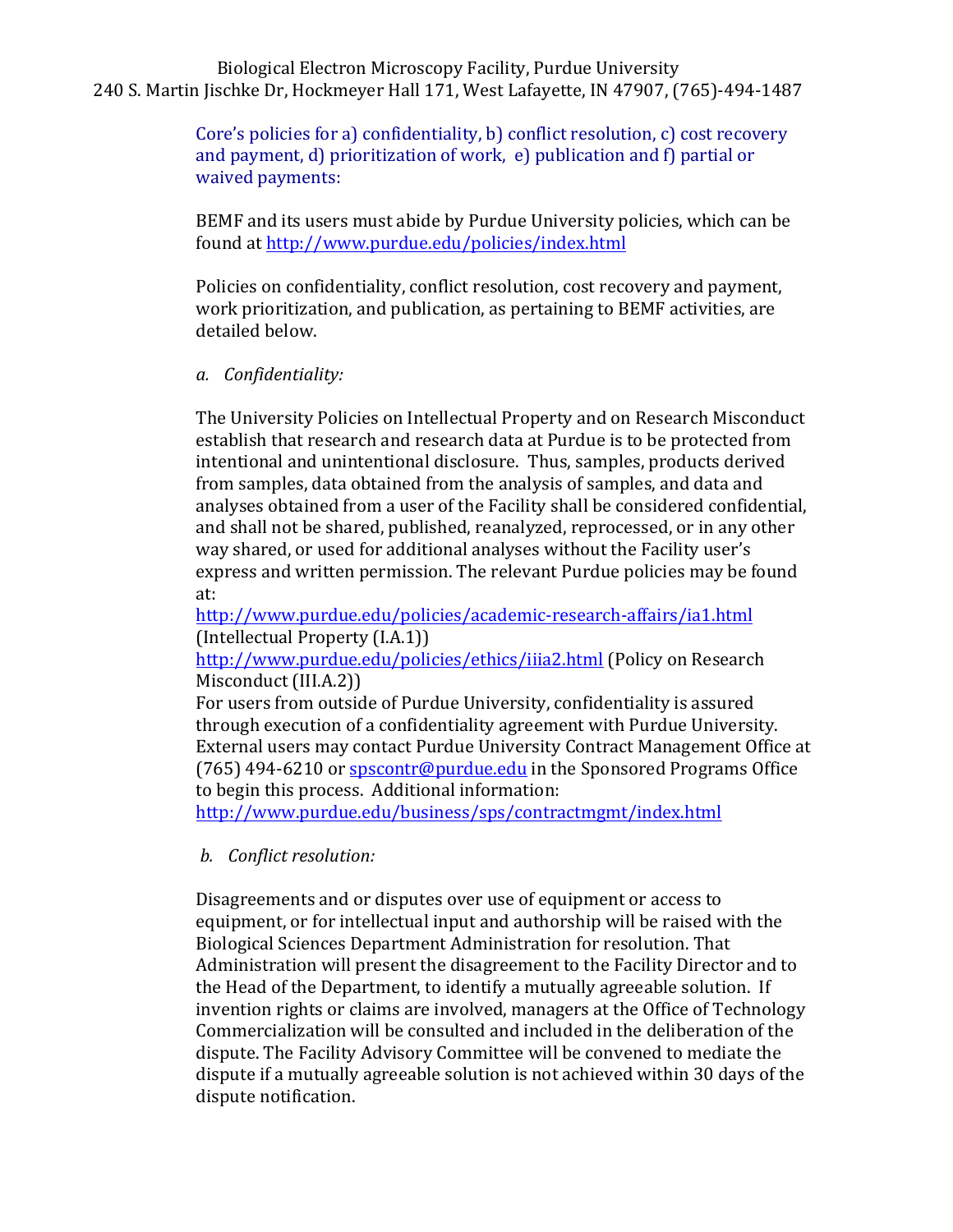# Biological Electron Microscopy Facility, Purdue University 240 S. Martin Jischke Dr, Hockmeyer Hall 171, West Lafayette, IN 47907, (765)-494-1487

Core's policies for a) confidentiality, b) conflict resolution, c) cost recovery and payment, d) prioritization of work,  $e$ ) publication and f) partial or waived payments:

BEMF and its users must abide by Purdue University policies, which can be found at http://www.purdue.edu/policies/index.html

Policies on confidentiality, conflict resolution, cost recovery and payment, work prioritization, and publication, as pertaining to BEMF activities, are detailed below.

### *a. Confidentiality:*

The University Policies on Intellectual Property and on Research Misconduct establish that research and research data at Purdue is to be protected from intentional and unintentional disclosure. Thus, samples, products derived from samples, data obtained from the analysis of samples, and data and analyses obtained from a user of the Facility shall be considered confidential, and shall not be shared, published, reanalyzed, reprocessed, or in any other way shared, or used for additional analyses without the Facility user's express and written permission. The relevant Purdue policies may be found at:

http://www.purdue.edu/policies/academic-research-affairs/ia1.html (Intellectual Property (I.A.1))

http://www.purdue.edu/policies/ethics/iiia2.html (Policy on Research Misconduct (III.A.2))

For users from outside of Purdue University, confidentiality is assured through execution of a confidentiality agreement with Purdue University. External users may contact Purdue University Contract Management Office at (765)  $494-6210$  or  $s$  pscontr@purdue.edu in the Sponsored Programs Office to begin this process. Additional information:

http://www.purdue.edu/business/sps/contractmgmt/index.html

# *b. Conflict resolution:*

Disagreements and or disputes over use of equipment or access to equipment, or for intellectual input and authorship will be raised with the Biological Sciences Department Administration for resolution. That Administration will present the disagreement to the Facility Director and to the Head of the Department, to identify a mutually agreeable solution. If invention rights or claims are involved, managers at the Office of Technology Commercialization will be consulted and included in the deliberation of the dispute. The Facility Advisory Committee will be convened to mediate the dispute if a mutually agreeable solution is not achieved within 30 days of the dispute notification.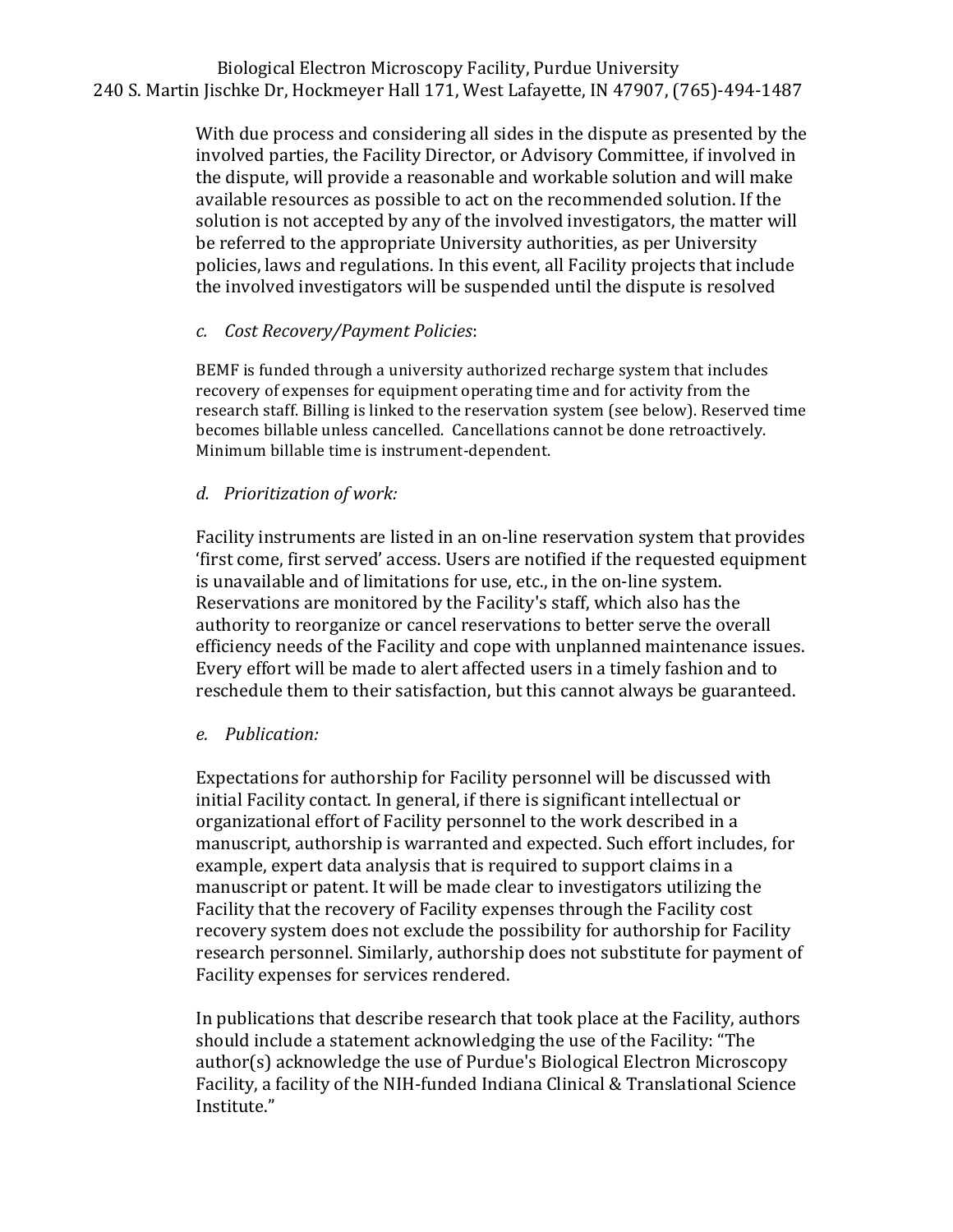# Biological Electron Microscopy Facility, Purdue University 240 S. Martin Jischke Dr, Hockmeyer Hall 171, West Lafayette, IN 47907, (765)-494-1487

With due process and considering all sides in the dispute as presented by the involved parties, the Facility Director, or Advisory Committee, if involved in the dispute, will provide a reasonable and workable solution and will make available resources as possible to act on the recommended solution. If the solution is not accepted by any of the involved investigators, the matter will be referred to the appropriate University authorities, as per University policies, laws and regulations. In this event, all Facility projects that include the involved investigators will be suspended until the dispute is resolved

#### *c. Cost Recovery/Payment Policies*:

BEMF is funded through a university authorized recharge system that includes recovery of expenses for equipment operating time and for activity from the research staff. Billing is linked to the reservation system (see below). Reserved time becomes billable unless cancelled. Cancellations cannot be done retroactively. Minimum billable time is instrument-dependent.

#### *d. Prioritization of work:*

Facility instruments are listed in an on-line reservation system that provides 'first come, first served' access. Users are notified if the requested equipment is unavailable and of limitations for use, etc., in the on-line system. Reservations are monitored by the Facility's staff, which also has the authority to reorganize or cancel reservations to better serve the overall efficiency needs of the Facility and cope with unplanned maintenance issues. Every effort will be made to alert affected users in a timely fashion and to reschedule them to their satisfaction, but this cannot always be guaranteed.

#### *e. Publication:*

Expectations for authorship for Facility personnel will be discussed with initial Facility contact. In general, if there is significant intellectual or organizational effort of Facility personnel to the work described in a manuscript, authorship is warranted and expected. Such effort includes, for example, expert data analysis that is required to support claims in a manuscript or patent. It will be made clear to investigators utilizing the Facility that the recovery of Facility expenses through the Facility cost recovery system does not exclude the possibility for authorship for Facility research personnel. Similarly, authorship does not substitute for payment of Facility expenses for services rendered.

In publications that describe research that took place at the Facility, authors should include a statement acknowledging the use of the Facility: "The author(s) acknowledge the use of Purdue's Biological Electron Microscopy Facility, a facility of the NIH-funded Indiana Clinical & Translational Science Institute."